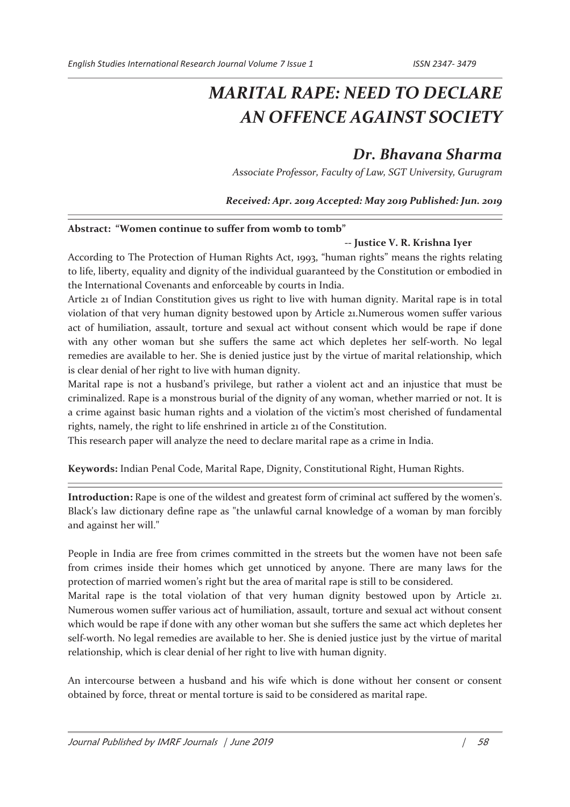# *MARITAL RAPE: NEED TO DECLARE AN OFFENCE AGAINST SOCIETY*

# *Dr. Bhavana Sharma*

*Associate Professor, Faculty of Law, SGT University, Gurugram* 

*Received: Apr. 2019 Accepted: May 2019 Published: Jun. 2019* 

## **Abstract: "Women continue to suffer from womb to tomb"**

## **-- Justice V. R. Krishna Iyer**

According to The Protection of Human Rights Act, 1993, "human rights" means the rights relating to life, liberty, equality and dignity of the individual guaranteed by the Constitution or embodied in the International Covenants and enforceable by courts in India.

Article 21 of Indian Constitution gives us right to live with human dignity. Marital rape is in total violation of that very human dignity bestowed upon by Article 21.Numerous women suffer various act of humiliation, assault, torture and sexual act without consent which would be rape if done with any other woman but she suffers the same act which depletes her self-worth. No legal remedies are available to her. She is denied justice just by the virtue of marital relationship, which is clear denial of her right to live with human dignity.

Marital rape is not a husband's privilege, but rather a violent act and an injustice that must be criminalized. Rape is a monstrous burial of the dignity of any woman, whether married or not. It is a crime against basic human rights and a violation of the victim's most cherished of fundamental rights, namely, the right to life enshrined in article 21 of the Constitution.

This research paper will analyze the need to declare marital rape as a crime in India.

**Keywords:** Indian Penal Code, Marital Rape, Dignity, Constitutional Right, Human Rights.

**Introduction:** Rape is one of the wildest and greatest form of criminal act suffered by the women's. Black's law dictionary define rape as "the unlawful carnal knowledge of a woman by man forcibly and against her will."

People in India are free from crimes committed in the streets but the women have not been safe from crimes inside their homes which get unnoticed by anyone. There are many laws for the protection of married women's right but the area of marital rape is still to be considered.

Marital rape is the total violation of that very human dignity bestowed upon by Article 21. Numerous women suffer various act of humiliation, assault, torture and sexual act without consent which would be rape if done with any other woman but she suffers the same act which depletes her self-worth. No legal remedies are available to her. She is denied justice just by the virtue of marital relationship, which is clear denial of her right to live with human dignity.

An intercourse between a husband and his wife which is done without her consent or consent obtained by force, threat or mental torture is said to be considered as marital rape.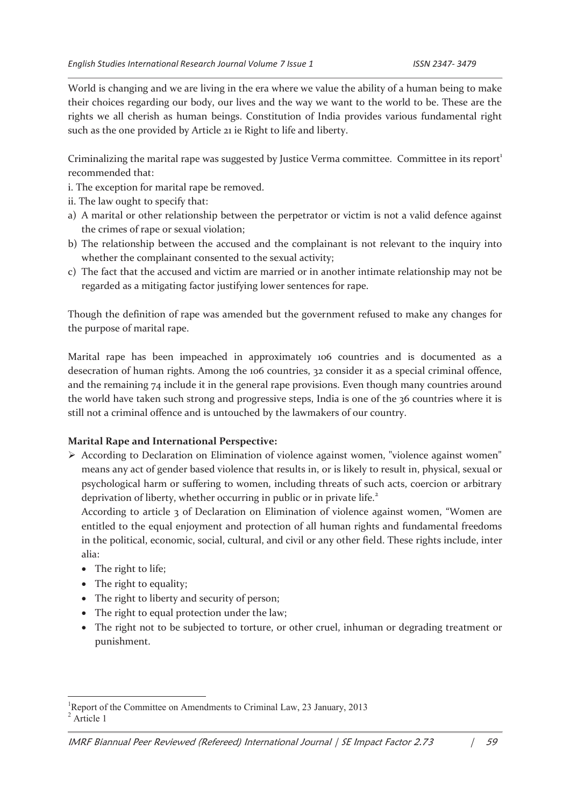World is changing and we are living in the era where we value the ability of a human being to make their choices regarding our body, our lives and the way we want to the world to be. These are the rights we all cherish as human beings. Constitution of India provides various fundamental right such as the one provided by Article 21 ie Right to life and liberty.

Criminalizing the marital rape was suggested by Justice Verma committee. Committee in its report<sup>1</sup> recommended that:

- i. The exception for marital rape be removed.
- ii. The law ought to specify that:
- a) A marital or other relationship between the perpetrator or victim is not a valid defence against the crimes of rape or sexual violation;
- b) The relationship between the accused and the complainant is not relevant to the inquiry into whether the complainant consented to the sexual activity;
- c) The fact that the accused and victim are married or in another intimate relationship may not be regarded as a mitigating factor justifying lower sentences for rape.

Though the definition of rape was amended but the government refused to make any changes for the purpose of marital rape.

Marital rape has been impeached in approximately 106 countries and is documented as a desecration of human rights. Among the 106 countries, 32 consider it as a special criminal offence, and the remaining 74 include it in the general rape provisions. Even though many countries around the world have taken such strong and progressive steps, India is one of the 36 countries where it is still not a criminal offence and is untouched by the lawmakers of our country.

#### **Marital Rape and International Perspective:**

ÿ According to Declaration on Elimination of violence against women, "violence against women" means any act of gender based violence that results in, or is likely to result in, physical, sexual or psychological harm or suffering to women, including threats of such acts, coercion or arbitrary deprivation of liberty, whether occurring in public or in private life.<sup>2</sup>

According to article 3 of Declaration on Elimination of violence against women, "Women are entitled to the equal enjoyment and protection of all human rights and fundamental freedoms in the political, economic, social, cultural, and civil or any other field. These rights include, inter alia:

• The right to life;

- The right to equality;
- The right to liberty and security of person;
- · The right to equal protection under the law;
- · The right not to be subjected to torture, or other cruel, inhuman or degrading treatment or punishment.

<sup>&</sup>lt;sup>1</sup>Report of the Committee on Amendments to Criminal Law, 23 January, 2013 <sup>2</sup> Article 1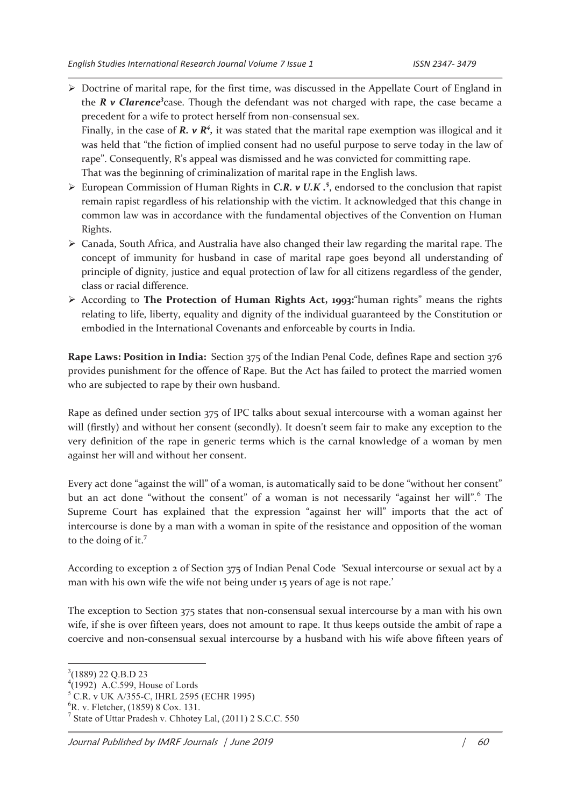ÿ Doctrine of marital rape, for the first time, was discussed in the Appellate Court of England in the *R v Clarence<sup>3</sup>case*. Though the defendant was not charged with rape, the case became a precedent for a wife to protect herself from non-consensual sex.

Finally, in the case of  $R$ .  $v R<sup>4</sup>$ , it was stated that the marital rape exemption was illogical and it was held that "the fiction of implied consent had no useful purpose to serve today in the law of rape". Consequently, R's appeal was dismissed and he was convicted for committing rape. That was the beginning of criminalization of marital rape in the English laws.

- European Commission of Human Rights in *C.R. v U.K .*<sup>5</sup>, endorsed to the conclusion that rapist remain rapist regardless of his relationship with the victim. It acknowledged that this change in common law was in accordance with the fundamental objectives of the Convention on Human Rights.
- $\triangleright$  Canada, South Africa, and Australia have also changed their law regarding the marital rape. The concept of immunity for husband in case of marital rape goes beyond all understanding of principle of dignity, justice and equal protection of law for all citizens regardless of the gender, class or racial difference.
- ÿ According to **The Protection of Human Rights Act, 1993:**"human rights" means the rights relating to life, liberty, equality and dignity of the individual guaranteed by the Constitution or embodied in the International Covenants and enforceable by courts in India.

**Rape Laws: Position in India:** Section 375 of the Indian Penal Code, defines Rape and section 376 provides punishment for the offence of Rape. But the Act has failed to protect the married women who are subjected to rape by their own husband.

Rape as defined under section 375 of IPC talks about sexual intercourse with a woman against her will (firstly) and without her consent (secondly). It doesn't seem fair to make any exception to the very definition of the rape in generic terms which is the carnal knowledge of a woman by men against her will and without her consent.

Every act done "against the will" of a woman, is automatically said to be done "without her consent" but an act done "without the consent" of a woman is not necessarily "against her will".<sup>6</sup> The Supreme Court has explained that the expression "against her will" imports that the act of intercourse is done by a man with a woman in spite of the resistance and opposition of the woman to the doing of it.<sup>7</sup>

According to exception 2 of Section 375 of Indian Penal Code *'*Sexual intercourse or sexual act by a man with his own wife the wife not being under 15 years of age is not rape.'

The exception to Section 375 states that non-consensual sexual intercourse by a man with his own wife, if she is over fifteen years, does not amount to rape. It thus keeps outside the ambit of rape a coercive and non-consensual sexual intercourse by a husband with his wife above fifteen years of

<sup>&</sup>lt;sup>3</sup>(1889) 22 Q.B.D 23

 $4(1992)$  A.C.599, House of Lords

<sup>5</sup> C.R. v UK A/355-C, IHRL 2595 (ECHR 1995)

 ${}^{6}$ R. v. Fletcher, (1859) 8 Cox. 131.

<sup>7</sup> State of Uttar Pradesh v. Chhotey Lal, (2011) 2 S.C.C. 550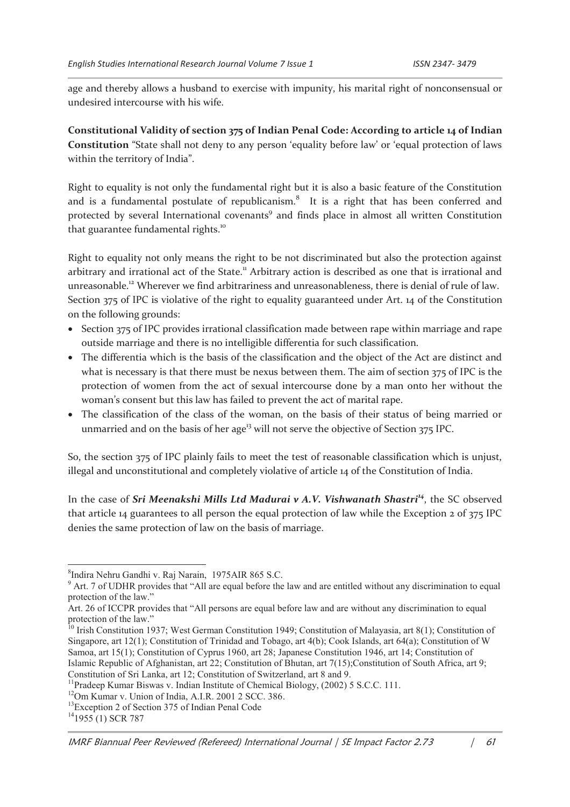age and thereby allows a husband to exercise with impunity, his marital right of nonconsensual or undesired intercourse with his wife.

**Constitutional Validity of section 375 of Indian Penal Code: According to article 14 of Indian Constitution** "State shall not deny to any person 'equality before law' or 'equal protection of laws within the territory of India".

Right to equality is not only the fundamental right but it is also a basic feature of the Constitution and is a fundamental postulate of republicanism.<sup>8</sup> It is a right that has been conferred and protected by several International covenants<sup>9</sup> and finds place in almost all written Constitution that guarantee fundamental rights.<sup>10</sup>

Right to equality not only means the right to be not discriminated but also the protection against arbitrary and irrational act of the State.<sup>11</sup> Arbitrary action is described as one that is irrational and unreasonable.<sup>12</sup> Wherever we find arbitrariness and unreasonableness, there is denial of rule of law. Section 375 of IPC is violative of the right to equality guaranteed under Art. 14 of the Constitution on the following grounds:

- · Section 375 of IPC provides irrational classification made between rape within marriage and rape outside marriage and there is no intelligible differentia for such classification.
- · The differentia which is the basis of the classification and the object of the Act are distinct and what is necessary is that there must be nexus between them. The aim of section 375 of IPC is the protection of women from the act of sexual intercourse done by a man onto her without the woman's consent but this law has failed to prevent the act of marital rape.
- · The classification of the class of the woman, on the basis of their status of being married or unmarried and on the basis of her age<sup>13</sup> will not serve the objective of Section  $375$  IPC.

So, the section 375 of IPC plainly fails to meet the test of reasonable classification which is unjust, illegal and unconstitutional and completely violative of article 14 of the Constitution of India.

In the case of *Sri Meenakshi Mills Ltd Madurai v A.V. Vishwanath Shastri<sup>14</sup>*, the SC observed that article 14 guarantees to all person the equal protection of law while the Exception 2 of 375 IPC denies the same protection of law on the basis of marriage.

<sup>8</sup> Indira Nehru Gandhi v. Raj Narain, 1975AIR 865 S.C.

<sup>&</sup>lt;sup>9</sup> Art. 7 of UDHR provides that "All are equal before the law and are entitled without any discrimination to equal protection of the law."

Art. 26 of ICCPR provides that "All persons are equal before law and are without any discrimination to equal protection of the law."

<sup>&</sup>lt;sup>10</sup> Irish Constitution 1937; West German Constitution 1949; Constitution of Malayasia, art 8(1); Constitution of Singapore, art 12(1); Constitution of Trinidad and Tobago, art 4(b); Cook Islands, art 64(a); Constitution of W Samoa, art 15(1); Constitution of Cyprus 1960, art 28; Japanese Constitution 1946, art 14; Constitution of Islamic Republic of Afghanistan, art 22; Constitution of Bhutan, art 7(15);Constitution of South Africa, art 9; Constitution of Sri Lanka, art 12; Constitution of Switzerland, art 8 and 9.

<sup>&</sup>lt;sup>11</sup>Pradeep Kumar Biswas v. Indian Institute of Chemical Biology, (2002) 5 S.C.C. 111.

<sup>&</sup>lt;sup>12</sup>Om Kumar v. Union of India, A.I.R. 2001 2 SCC. 386.

<sup>&</sup>lt;sup>13</sup>Exception 2 of Section 375 of Indian Penal Code

 $14$ 1955 (1) SCR 787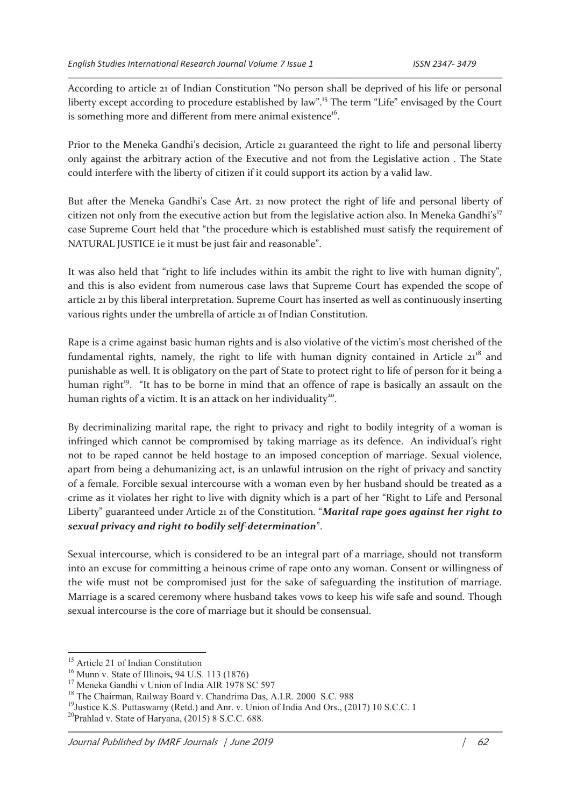According to article 21 of Indian Constitution "No person shall be deprived of his life or personal liberty except according to procedure established by law".<sup>15</sup> The term "Life" envisaged by the Court is something more and different from mere animal existence<sup>16</sup>.

Prior to the Meneka Gandhi's decision, Article 21 guaranteed the right to life and personal liberty only against the arbitrary action of the Executive and not from the Legislative action . The State could interfere with the liberty of citizen if it could support its action by a valid law.

But after the Meneka Gandhi's Case Art. 21 now protect the right of life and personal liberty of citizen not only from the executive action but from the legislative action also. In Meneka Gandhi's<sup>17</sup> case Supreme Court held that "the procedure which is established must satisfy the requirement of NATURAL JUSTICE ie it must be just fair and reasonable".

It was also held that "right to life includes within its ambit the right to live with human dignity", and this is also evident from numerous case laws that Supreme Court has expended the scope of article 21 by this liberal interpretation. Supreme Court has inserted as well as continuously inserting various rights under the umbrella of article 21 of Indian Constitution.

Rape is a crime against basic human rights and is also violative of the victim's most cherished of the fundamental rights, namely, the right to life with human dignity contained in Article  $21^{18}$  and punishable as well. It is obligatory on the part of State to protect right to life of person for it being a human right<sup>19</sup>. "It has to be borne in mind that an offence of rape is basically an assault on the human rights of a victim. It is an attack on her individuality<sup>20</sup>.

By decriminalizing marital rape, the right to privacy and right to bodily integrity of a woman is infringed which cannot be compromised by taking marriage as its defence. An individual's right not to be raped cannot be held hostage to an imposed conception of marriage. Sexual violence, apart from being a dehumanizing act, is an unlawful intrusion on the right of privacy and sanctity of a female. Forcible sexual intercourse with a woman even by her husband should be treated as a crime as it violates her right to live with dignity which is a part of her "Right to Life and Personal Liberty" guaranteed under Article 21 of the Constitution. "*Marital rape goes against her right to sexual privacy and right to bodily self-determination*".

Sexual intercourse, which is considered to be an integral part of a marriage, should not transform into an excuse for committing a heinous crime of rape onto any woman. Consent or willingness of the wife must not be compromised just for the sake of safeguarding the institution of marriage. Marriage is a scared ceremony where husband takes vows to keep his wife safe and sound. Though sexual intercourse is the core of marriage but it should be consensual.

<sup>&</sup>lt;sup>15</sup> Article 21 of Indian Constitution

<sup>16</sup> Munn v. State of Illinois**,** 94 U.S. 113 (1876)

<sup>&</sup>lt;sup>17</sup> Meneka Gandhi v Union of India AIR 1978 SC 597

<sup>&</sup>lt;sup>18</sup> The Chairman, Railway Board v. Chandrima Das, A.I.R. 2000 S.C. 988

<sup>&</sup>lt;sup>19</sup>Justice K.S. Puttaswamy (Retd.) and Anr. v. Union of India And Ors., (2017) 10 S.C.C. 1

<sup>&</sup>lt;sup>20</sup>Prahlad v. State of Haryana,  $(2015)$  8 S.C.C. 688.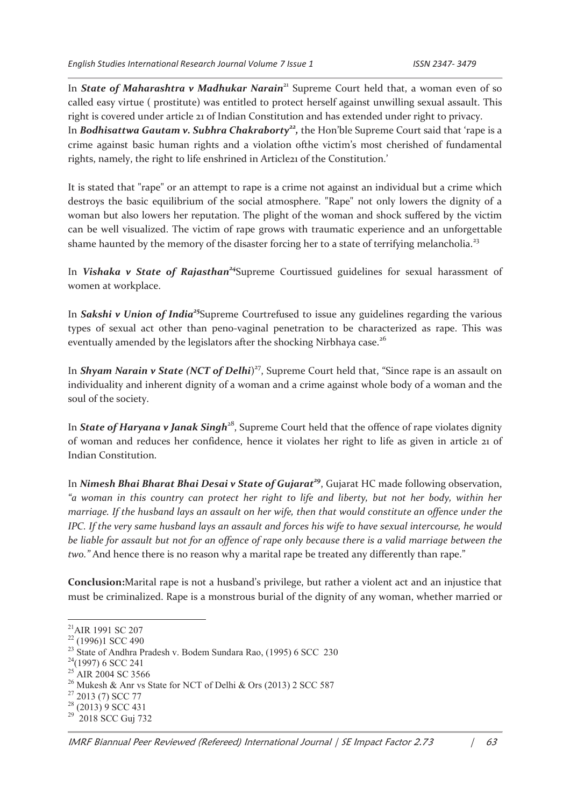rights, namely, the right to life enshrined in Article21 of the Constitution.'

In *State of Maharashtra v Madhukar Narain*<sup>21</sup> Supreme Court held that, a woman even of so called easy virtue ( prostitute) was entitled to protect herself against unwilling sexual assault. This right is covered under article 21 of Indian Constitution and has extended under right to privacy. In *Bodhisattwa Gautam v. Subhra Chakraborty*<sup>22</sup>, the Hon'ble Supreme Court said that 'rape is a crime against basic human rights and a violation ofthe victim's most cherished of fundamental

It is stated that "rape" or an attempt to rape is a crime not against an individual but a crime which destroys the basic equilibrium of the social atmosphere. "Rape" not only lowers the dignity of a woman but also lowers her reputation. The plight of the woman and shock suffered by the victim can be well visualized. The victim of rape grows with traumatic experience and an unforgettable shame haunted by the memory of the disaster forcing her to a state of terrifying melancholia.<sup>23</sup>

In *Vishaka v State of Rajasthan<sup>24</sup>*Supreme Courtissued guidelines for sexual harassment of women at workplace.

In *Sakshi v Union of India<sup>25</sup>*Supreme Courtrefused to issue any guidelines regarding the various types of sexual act other than peno-vaginal penetration to be characterized as rape. This was eventually amended by the legislators after the shocking Nirbhaya case.<sup>26</sup>

In *Shyam Narain v State (NCT of Delhi*) <sup>27</sup>, Supreme Court held that, "Since rape is an assault on individuality and inherent dignity of a woman and a crime against whole body of a woman and the soul of the society.

In **State of Haryana v Janak Singh**<sup>28</sup>, Supreme Court held that the offence of rape violates dignity of woman and reduces her confidence, hence it violates her right to life as given in article 21 of Indian Constitution.

In *Nimesh Bhai Bharat Bhai Desai v State of Gujarat<sup>29</sup>*, Gujarat HC made following observation, *"a woman in this country can protect her right to life and liberty, but not her body, within her marriage. If the husband lays an assault on her wife, then that would constitute an offence under the IPC. If the very same husband lays an assault and forces his wife to have sexual intercourse, he would be liable for assault but not for an offence of rape only because there is a valid marriage between the two."* And hence there is no reason why a marital rape be treated any differently than rape."

**Conclusion:**Marital rape is not a husband's privilege, but rather a violent act and an injustice that must be criminalized. Rape is a monstrous burial of the dignity of any woman, whether married or

<sup>&</sup>lt;sup>21</sup>AIR 1991 SC 207

<sup>22</sup> (1996)1 SCC 490

<sup>&</sup>lt;sup>23</sup> State of Andhra Pradesh v. Bodem Sundara Rao, (1995) 6 SCC 230

 $24(1997)$  6 SCC 241

<sup>&</sup>lt;sup>25</sup> AIR 2004 SC 3566

<sup>&</sup>lt;sup>26</sup> Mukesh & Anr vs State for NCT of Delhi & Ors (2013) 2 SCC 587

<sup>27</sup> 2013 (7) SCC 77

 $28$  (2013) 9 SCC 431

<sup>&</sup>lt;sup>29</sup> 2018 SCC Guj 732

IMRF Biannual Peer Reviewed (Refereed) International Journal | SE Impact Factor 2.73  $\qquad$   $\qquad$  63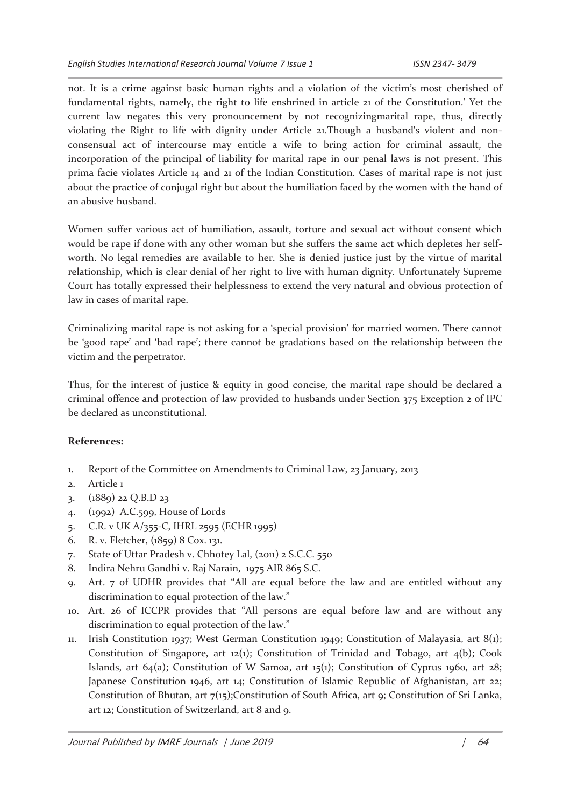not. It is a crime against basic human rights and a violation of the victim's most cherished of fundamental rights, namely, the right to life enshrined in article 21 of the Constitution.' Yet the current law negates this very pronouncement by not recognizingmarital rape, thus, directly violating the Right to life with dignity under Article 21.Though a husband's violent and nonconsensual act of intercourse may entitle a wife to bring action for criminal assault, the incorporation of the principal of liability for marital rape in our penal laws is not present. This prima facie violates Article 14 and 21 of the Indian Constitution. Cases of marital rape is not just about the practice of conjugal right but about the humiliation faced by the women with the hand of an abusive husband.

Women suffer various act of humiliation, assault, torture and sexual act without consent which would be rape if done with any other woman but she suffers the same act which depletes her selfworth. No legal remedies are available to her. She is denied justice just by the virtue of marital relationship, which is clear denial of her right to live with human dignity. Unfortunately Supreme Court has totally expressed their helplessness to extend the very natural and obvious protection of law in cases of marital rape.

Criminalizing marital rape is not asking for a 'special provision' for married women. There cannot be 'good rape' and 'bad rape'; there cannot be gradations based on the relationship between the victim and the perpetrator.

Thus, for the interest of justice & equity in good concise, the marital rape should be declared a criminal offence and protection of law provided to husbands under Section 375 Exception 2 of IPC be declared as unconstitutional.

#### **References:**

- 1. Report of the Committee on Amendments to Criminal Law, 23 January, 2013
- 2. Article 1
- 3. (1889) 22 Q.B.D 23
- 4. (1992) A.C.599, House of Lords
- 5. C.R. v UK A/355-C, IHRL 2595 (ECHR 1995)
- 6. R. v. Fletcher, (1859) 8 Cox. 131.
- 7. State of Uttar Pradesh v. Chhotey Lal, (2011) 2 S.C.C. 550
- 8. Indira Nehru Gandhi v. Raj Narain, 1975 AIR 865 S.C.
- 9. Art. 7 of UDHR provides that "All are equal before the law and are entitled without any discrimination to equal protection of the law."
- 10. Art. 26 of ICCPR provides that "All persons are equal before law and are without any discrimination to equal protection of the law."
- 11. Irish Constitution 1937; West German Constitution 1949; Constitution of Malayasia, art 8(1); Constitution of Singapore, art  $12(1)$ ; Constitution of Trinidad and Tobago, art  $4(b)$ ; Cook Islands, art  $64(a)$ ; Constitution of W Samoa, art 15(1); Constitution of Cyprus 1960, art 28; Japanese Constitution 1946, art 14; Constitution of Islamic Republic of Afghanistan, art 22; Constitution of Bhutan, art  $7(15)$ ;Constitution of South Africa, art 9; Constitution of Sri Lanka, art 12; Constitution of Switzerland, art 8 and 9.